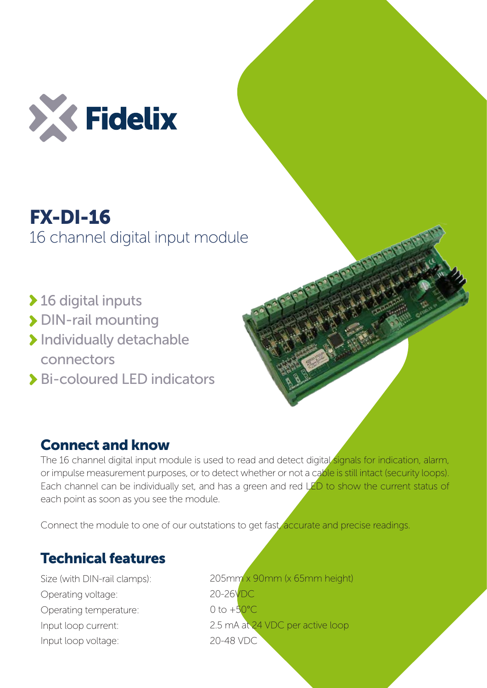

## FX-DI-16 16 channel digital input module

- ◆ 16 digital inputs
- > DIN-rail mounting
- > Individually detachable connectors
- Bi-coloured LED indicators

## Connect and know

The 16 channel digital input module is used to read and detect digital signals for indication, alarm, or impulse measurement purposes, or to detect whether or not a cable is still intact (security loops). Each channel can be individually set, and has a green and red LED to show the current status of each point as soon as you see the module.

Connect the module to one of our outstations to get fast, accurate and precise readings.

## Technical features

Size (with DIN-rail clamps): Operating voltage: Operating temperature: Input loop current: Input loop voltage:

205mm x 90mm (x 65mm height) 20-26VDC 0 to  $+50^{\circ}$ C 2.5 mA at 24 VDC per active loop 20-48 VDC

Papa Papa Papa